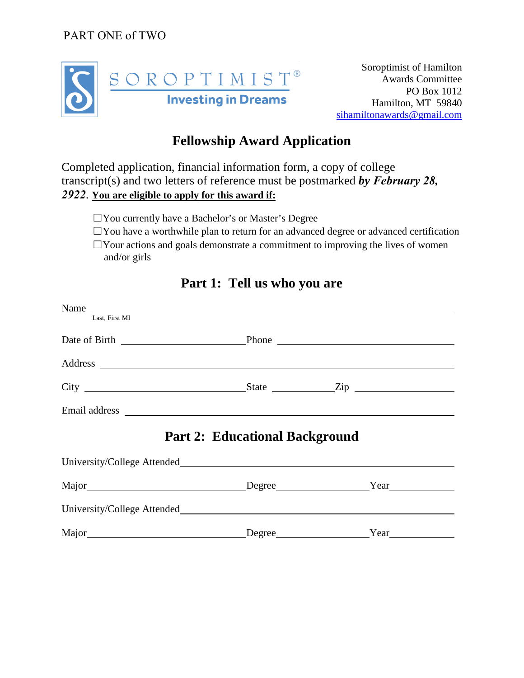PART ONE of TWO



Soroptimist of Hamilton Awards Committee PO Box 1012 Hamilton, MT 59840 [sihamiltonawards@gmail.com](mailto:sihamiltonawards@gmail.com)

### **Fellowship Award Application**

Completed application, financial information form, a copy of college transcript(s) and two letters of reference must be postmarked *by February 28, 2922*. **You are eligible to apply for this award if:**

☐You currently have a Bachelor's or Master's Degree

 $\Box$ You have a worthwhile plan to return for an advanced degree or advanced certification  $\Box$ Your actions and goals demonstrate a commitment to improving the lives of women

and/or girls

| Name                                                                                                                                                                                                                           |                                       |             |  |
|--------------------------------------------------------------------------------------------------------------------------------------------------------------------------------------------------------------------------------|---------------------------------------|-------------|--|
| Last, First MI                                                                                                                                                                                                                 |                                       |             |  |
|                                                                                                                                                                                                                                |                                       |             |  |
|                                                                                                                                                                                                                                |                                       |             |  |
|                                                                                                                                                                                                                                |                                       |             |  |
|                                                                                                                                                                                                                                |                                       |             |  |
|                                                                                                                                                                                                                                | <b>Part 2: Educational Background</b> |             |  |
|                                                                                                                                                                                                                                |                                       |             |  |
| Major Major Manandrom Degree Manandrom Pream Major Major Major Major Major Major Major Major Major Major Major Major Major Major Major Major Major Major Major Major Major Major Major Major Major Major Major Major Major Maj |                                       |             |  |
|                                                                                                                                                                                                                                |                                       |             |  |
|                                                                                                                                                                                                                                |                                       | Degree Year |  |

### **Part 1: Tell us who you are**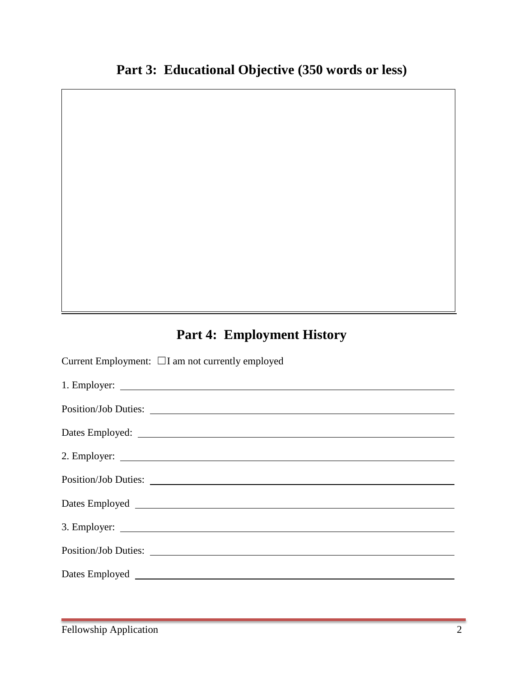# **Part 4: Employment History**

Current Employment: ☐I am not currently employed

| Position/Job Duties: |
|----------------------|
|                      |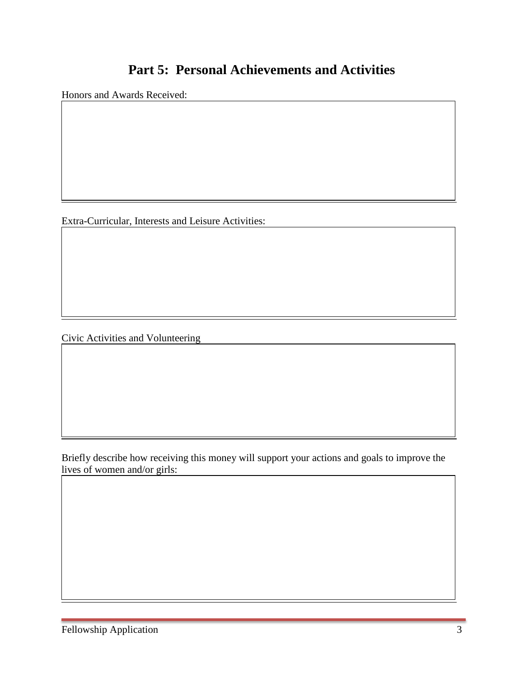### **Part 5: Personal Achievements and Activities**

Honors and Awards Received:

Extra-Curricular, Interests and Leisure Activities:

Civic Activities and Volunteering

Briefly describe how receiving this money will support your actions and goals to improve the lives of women and/or girls: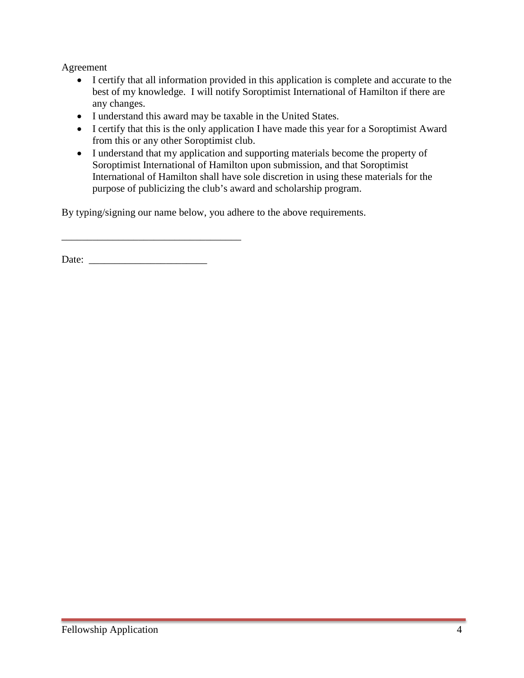Agreement

- I certify that all information provided in this application is complete and accurate to the best of my knowledge. I will notify Soroptimist International of Hamilton if there are any changes.
- I understand this award may be taxable in the United States.
- I certify that this is the only application I have made this year for a Soroptimist Award from this or any other Soroptimist club.
- I understand that my application and supporting materials become the property of Soroptimist International of Hamilton upon submission, and that Soroptimist International of Hamilton shall have sole discretion in using these materials for the purpose of publicizing the club's award and scholarship program.

By typing/signing our name below, you adhere to the above requirements.

Date:

\_\_\_\_\_\_\_\_\_\_\_\_\_\_\_\_\_\_\_\_\_\_\_\_\_\_\_\_\_\_\_\_\_\_\_